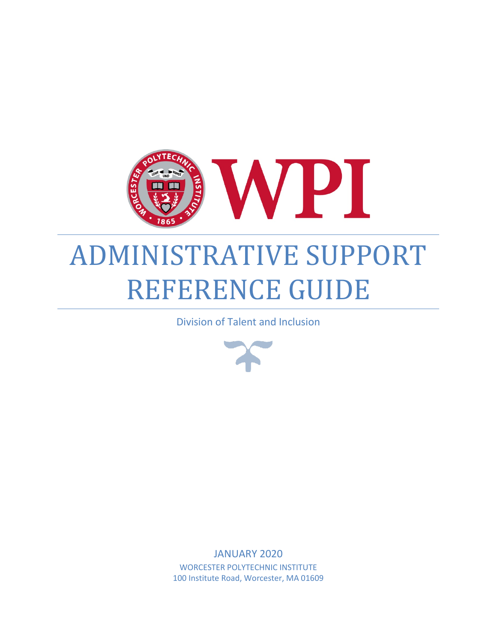

# ADMINISTRATIVE SUPPORT REFERENCE GUIDE

Division of Talent and Inclusion



JANUARY 2020 WORCESTER POLYTECHNIC INSTITUTE 100 Institute Road, Worcester, MA 01609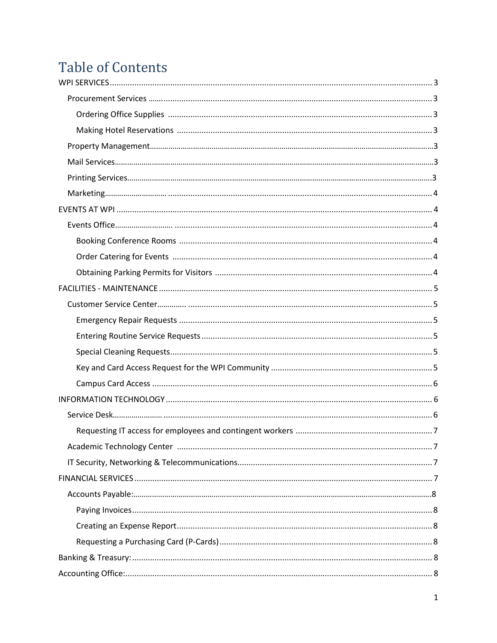## **Table of Contents**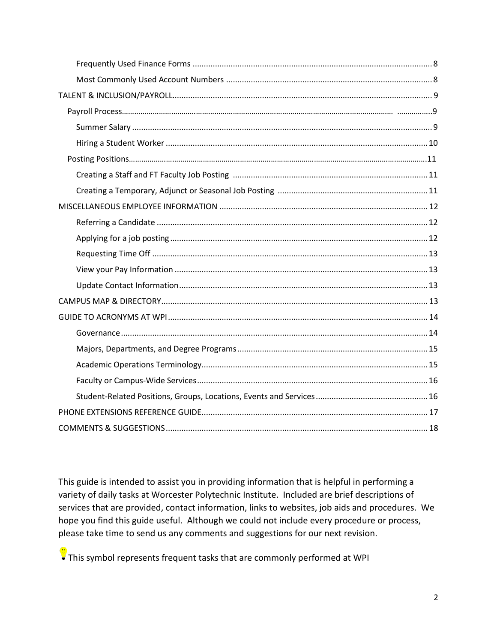This guide is intended to assist you in providing information that is helpful in performing a variety of daily tasks at Worcester Polytechnic Institute. Included are brief descriptions of services that are provided, contact information, links to websites, job aids and procedures. We hope you find this guide useful. Although we could not include every procedure or process, please take time to send us any comments and suggestions for our next revision.

 $\frac{1}{2}$  This symbol represents frequent tasks that are commonly performed at WPI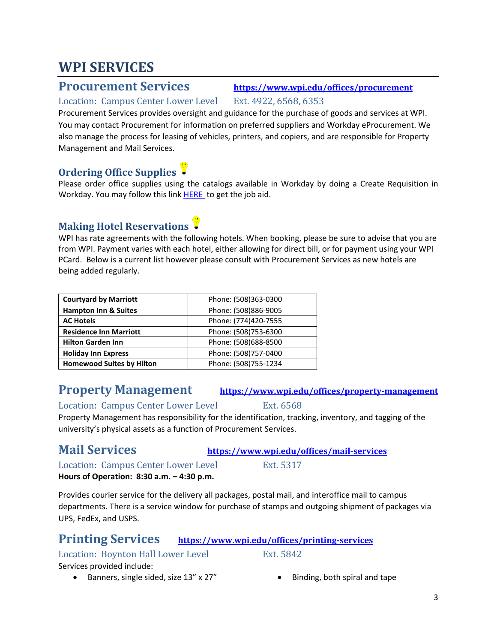### <span id="page-3-0"></span>**WPI SERVICES**

<span id="page-3-1"></span>**Procurement Services <https://www.wpi.edu/offices/procurement>**

### Location: Campus Center Lower Level Ext. 4922, 6568, 6353

Procurement Services provides oversight and guidance for the purchase of goods and services at WPI. You may contact Procurement for information on preferred suppliers and Workday eProcurement. We also manage the process for leasing of vehicles, printers, and copiers, and are responsible for Property Management and Mail Services.

#### <span id="page-3-2"></span>**Ordering Office Supplies**

Please order office supplies using the catalogs available in Workday by doing a Create Requisition in Workday. You may follow this link [HERE](https://wpi0.sharepoint.com/workday/Shared%20Documents/Forms/AllItems.aspx?id=/workday/Shared%20Documents/JobAids/CreateRequisitionforPurchaseOrders.pdf&parent=/workday/Shared%20Documents/JobAids) to get the job aid.

### <span id="page-3-3"></span>**Making Hotel Reservations**

WPI has rate agreements with the following hotels. When booking, please be sure to advise that you are from WPI. Payment varies with each hotel, either allowing for direct bill, or for payment using your WPI PCard. Below is a current list however please consult with Procurement Services as new hotels are being added regularly.

| <b>Courtyard by Marriott</b>     | Phone: (508)363-0300 |
|----------------------------------|----------------------|
| <b>Hampton Inn &amp; Suites</b>  | Phone: (508)886-9005 |
| <b>AC Hotels</b>                 | Phone: (774)420-7555 |
| <b>Residence Inn Marriott</b>    | Phone: (508)753-6300 |
| <b>Hilton Garden Inn</b>         | Phone: (508)688-8500 |
| <b>Holiday Inn Express</b>       | Phone: (508)757-0400 |
| <b>Homewood Suites by Hilton</b> | Phone: (508)755-1234 |

### <span id="page-3-4"></span>**Property Management <https://www.wpi.edu/offices/property-management>**

Location: Campus Center Lower Level Ext. 6568

Property Management has responsibility for the identification, tracking, inventory, and tagging of the university's physical assets as a function of Procurement Services.

<span id="page-3-5"></span>**Mail Services <https://www.wpi.edu/offices/mail-services>**

Location: Campus Center Lower Level Ext. 5317

**Hours of Operation: 8:30 a.m. – 4:30 p.m.** 

Provides courier service for the delivery all packages, postal mail, and interoffice mail to campus departments. There is a service window for purchase of stamps and outgoing shipment of packages via UPS, FedEx, and USPS.

#### <span id="page-3-6"></span>**Printing Services <https://www.wpi.edu/offices/printing-services>**

#### Location: Boynton Hall Lower Level Ext. 5842

Services provided include:

- Banners, single sided, size 13" x 27" Binding, both spiral and tape
	-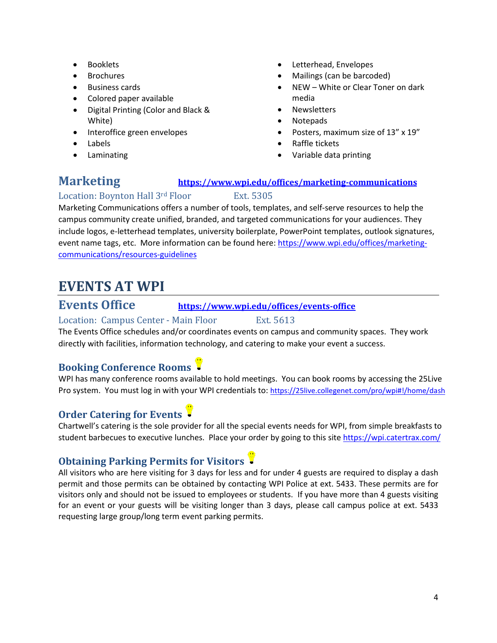- Booklets
- **Brochures**
- Business cards
- Colored paper available
- Digital Printing (Color and Black & White)
- Interoffice green envelopes
- Labels
- **Laminating**
- Letterhead, Envelopes
- Mailings (can be barcoded)
- NEW White or Clear Toner on dark media
- **Newsletters**
- Notepads
- Posters, maximum size of 13" x 19"
- Raffle tickets
- Variable data printing

### <span id="page-4-0"></span>**Marketing <https://www.wpi.edu/offices/marketing-communications>**

#### Location: Boynton Hall 3rd Floor Ext. 5305

Marketing Communications offers a number of tools, templates, and self-serve resources to help the campus community create unified, branded, and targeted communications for your audiences. They include logos, e-letterhead templates, university boilerplate, PowerPoint templates, outlook signatures, event name tags, etc. More information can be found here[: https://www.wpi.edu/offices/marketing](https://www.wpi.edu/offices/marketing-communications/resources-guidelines)[communications/resources-guidelines](https://www.wpi.edu/offices/marketing-communications/resources-guidelines)

### <span id="page-4-1"></span>**EVENTS AT WPI**

### <span id="page-4-2"></span>**Events Office <https://www.wpi.edu/offices/events-office>**

Location: Campus Center - Main Floor Ext. 5613 The Events Office schedules and/or coordinates events on campus and community spaces. They work

directly with facilities, information technology, and catering to make your event a success.

### <span id="page-4-3"></span>**Booking Conference Rooms**

WPI has many conference rooms available to hold meetings. You can book rooms by accessing the 25Live Pro system. You must log in with your WPI credentials to:<https://25live.collegenet.com/pro/wpi#!/home/dash>

### <span id="page-4-4"></span>**Order Catering for Events**

Chartwell's catering is the sole provider for all the special events needs for WPI, from simple breakfasts to student barbecues to executive lunches. Place your order by going to this sit[e https://wpi.catertrax.com/](https://wpi.catertrax.com/)

### <span id="page-4-5"></span>**Obtaining Parking Permits for Visitors**

All visitors who are here visiting for 3 days for less and for under 4 guests are required to display a dash permit and those permits can be obtained by contacting WPI Police at ext. 5433. These permits are for visitors only and should not be issued to employees or students. If you have more than 4 guests visiting for an event or your guests will be visiting longer than 3 days, please call campus police at ext. 5433 requesting large group/long term event parking permits.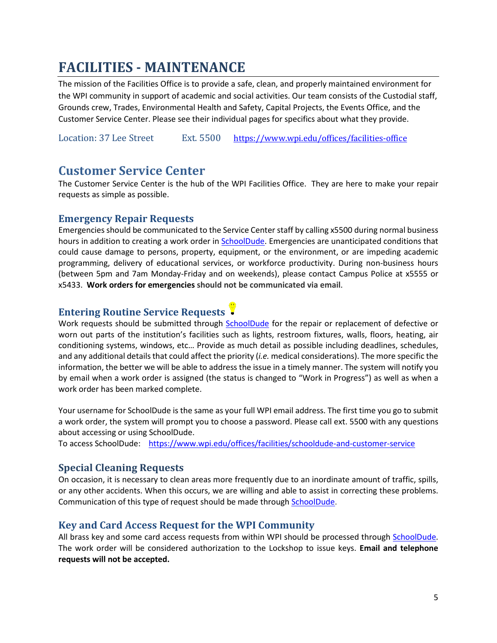### <span id="page-5-0"></span>**FACILITIES - MAINTENANCE**

The mission of the Facilities Office is to provide a safe, clean, and properly maintained environment for the WPI community in support of academic and social activities. Our team consists of the Custodial staff, Grounds crew, Trades, Environmental Health and Safety, Capital Projects, the Events Office, and the Customer Service Center. Please see their individual pages for specifics about what they provide.

Location: 37 Lee Street Ext. 5500 <https://www.wpi.edu/offices/facilities-office>

#### <span id="page-5-1"></span>**Customer Service Center**

The Customer Service Center is the hub of the WPI Facilities Office. They are here to make your repair requests as simple as possible.

#### <span id="page-5-2"></span>**Emergency Repair Requests**

Emergencies should be communicated to the Service Center staff by calling x5500 during normal business hours in addition to creating a work order i[n SchoolDude.](https://login.myschoolbuilding.com/msb) Emergencies are unanticipated conditions that could cause damage to persons, property, equipment, or the environment, or are impeding academic programming, delivery of educational services, or workforce productivity. During non-business hours (between 5pm and 7am Monday-Friday and on weekends), please contact Campus Police at x5555 or x5433. **Work orders for emergencies should not be communicated via email**.

### <span id="page-5-3"></span>**Entering Routine Service Requests**

Work requests should be submitted through [SchoolDude](https://www.wpi.edu/offices/facilities/schooldude-and-customer-service) for the repair or replacement of defective or worn out parts of the institution's facilities such as lights, restroom fixtures, walls, floors, heating, air conditioning systems, windows, etc… Provide as much detail as possible including deadlines, schedules, and any additional details that could affect the priority (*i.e.* medical considerations). The more specific the information, the better we will be able to address the issue in a timely manner. The system will notify you by email when a work order is assigned (the status is changed to "Work in Progress") as well as when a work order has been marked complete.

Your username for SchoolDude is the same as your full WPI email address. The first time you go to submit a work order, the system will prompt you to choose a password. Please call ext. 5500 with any questions about accessing or using SchoolDude.

To access SchoolDude: <https://www.wpi.edu/offices/facilities/schooldude-and-customer-service>

#### <span id="page-5-4"></span>**Special Cleaning Requests**

On occasion, it is necessary to clean areas more frequently due to an inordinate amount of traffic, spills, or any other accidents. When this occurs, we are willing and able to assist in correcting these problems. Communication of this type of request should be made through [SchoolDude.](https://www.wpi.edu/offices/facilities/schooldude-and-customer-service)

#### <span id="page-5-5"></span>**Key and Card Access Request for the WPI Community**

All brass key and some card access requests from within WPI should be processed through [SchoolDude.](https://www.wpi.edu/offices/facilities/schooldude-and-customer-service) The work order will be considered authorization to the Lockshop to issue keys. **Email and telephone requests will not be accepted.**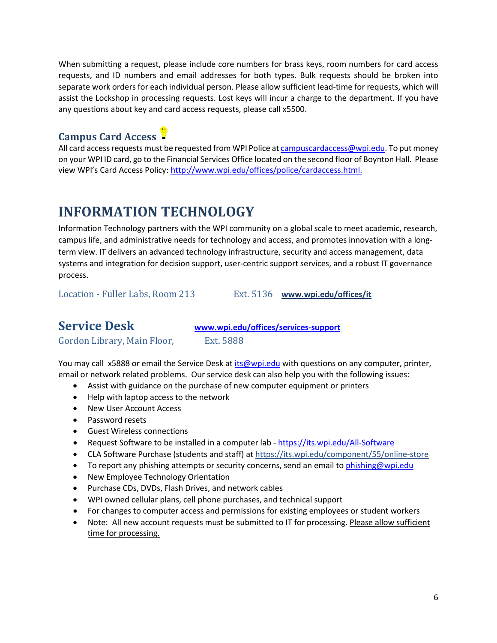When submitting a request, please include core numbers for brass keys, room numbers for card access requests, and ID numbers and email addresses for both types. Bulk requests should be broken into separate work orders for each individual person. Please allow sufficient lead-time for requests, which will assist the Lockshop in processing requests. Lost keys will incur a charge to the department. If you have any questions about key and card access requests, please call x5500.

### <span id="page-6-0"></span>**Campus Card Access**

All card access requests must be requested from WPI Police a[t campuscardaccess@wpi.edu.](mailto:campuscardaccess@wpi.edu) To put money on your WPI ID card, go to the Financial Services Office located on the second floor of Boynton Hall. Please view WPI's Card Access Policy: [http://www.wpi.edu/offices/police/cardaccess.html.](https://www.wpi.edu/offices/facilities/keys-and-card-access)

### <span id="page-6-1"></span>**INFORMATION TECHNOLOGY**

Information Technology partners with the WPI community on a global scale to meet academic, research, campus life, and administrative needs for technology and access, and promotes innovation with a longterm view. IT delivers an advanced technology infrastructure, security and access management, data systems and integration for decision support, user-centric support services, and a robust IT governance process.

Location - Fuller Labs, Room 213 Ext. 5136 **[www.wpi.edu/offices/it](http://www.wpi.edu/offices/it)**

### <span id="page-6-2"></span>**Service Desk [www.wpi.edu/offices/services-support](http://www.wpi.edu/offices/services-support)**

Gordon Library, Main Floor, Ext. 5888

You may call x5888 or email the Service Desk at [its@wpi.edu](mailto:its@wpi.edu) with questions on any computer, printer, email or network related problems. Our service desk can also help you with the following issues:

- Assist with guidance on the purchase of new computer equipment or printers
- Help with laptop access to the network
- New User Account Access
- Password resets
- Guest Wireless connections
- Request Software to be installed in a computer lab <https://its.wpi.edu/All-Software>
- CLA Software Purchase (students and staff) a[t https://its.wpi.edu/component/55/online-store](https://its.wpi.edu/component/55/online-store)
- To report any phishing attempts or security concerns, send an email to [phishing@wpi.edu](mailto:phishing@wpi.edu)
- New Employee Technology Orientation
- Purchase CDs, DVDs, Flash Drives, and network cables
- WPI owned cellular plans, cell phone purchases, and technical support
- For changes to computer access and permissions for existing employees or student workers
- Note: All new account requests must be submitted to IT for processing. Please allow sufficient time for processing.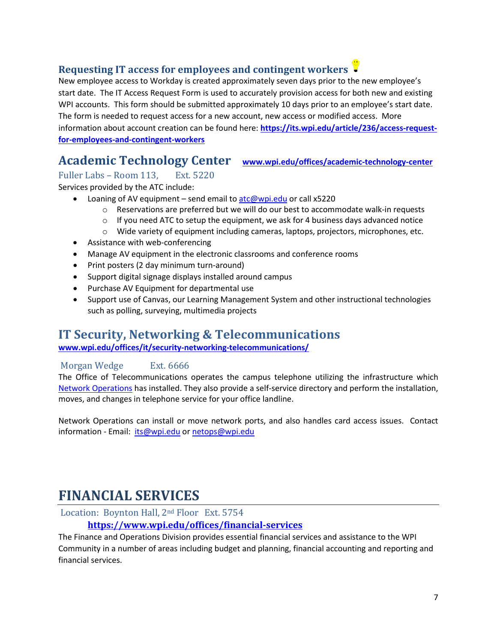#### <span id="page-7-0"></span>**Requesting IT access for employees and contingent workers**

New employee access to Workday is created approximately seven days prior to the new employee's start date. The IT Access Request Form is used to accurately provision access for both new and existing WPI accounts. This form should be submitted approximately 10 days prior to an employee's start date. The form is needed to request access for a new account, new access or modified access. More information about account creation can be found here: **[https://its.wpi.edu/article/236/access-request](https://its.wpi.edu/article/236/access-request-for-employees-and-contingent-workers)[for-employees-and-contingent-workers](https://its.wpi.edu/article/236/access-request-for-employees-and-contingent-workers)**

### <span id="page-7-1"></span>**Academic Technology Center [www.wpi.edu/offices/academic-technology-center](http://www.wpi.edu/offices/academic-technology-center)**

#### Fuller Labs – Room 113, Ext. 5220

Services provided by the ATC include:

- Loaning of AV equipment send email to  $\frac{arc\omega}{\omega}$ wpi.edu or call x5220
	- $\circ$  Reservations are preferred but we will do our best to accommodate walk-in requests
	- $\circ$  If you need ATC to setup the equipment, we ask for 4 business days advanced notice
	- o Wide variety of equipment including cameras, laptops, projectors, microphones, etc.
- Assistance with web-conferencing
- Manage AV equipment in the electronic classrooms and conference rooms
- Print posters (2 day minimum turn-around)
- Support digital signage displays installed around campus
- Purchase AV Equipment for departmental use
- Support use of Canvas, our Learning Management System and other instructional technologies such as polling, surveying, multimedia projects

### <span id="page-7-2"></span>**IT Security, Networking & Telecommunications**

**[www.wpi.edu/offices/it/security-networking-telecommunications/](http://www.wpi.edu/offices/it/security-networking-telecommunications/)**

#### Morgan Wedge Ext. 6666

The Office of Telecommunications operates the campus telephone utilizing the infrastructure which [Network Operations](http://www.wpi.edu/+netops) has installed. They also provide a self-service directory and perform the installation, moves, and changes in telephone service for your office landline.

<span id="page-7-3"></span>Network Operations can install or move network ports, and also handles card access issues. Contact information - Email: [its@wpi.edu](mailto:its@wpi.edu) or [netops@wpi.edu](mailto:netops@wpi.edu)

### **FINANCIAL SERVICES**

Location: Boynton Hall, 2nd Floor Ext. 5754

#### **<https://www.wpi.edu/offices/financial-services>**

The Finance and Operations Division provides essential financial services and assistance to the WPI Community in a number of areas including budget and planning, financial accounting and reporting and financial services.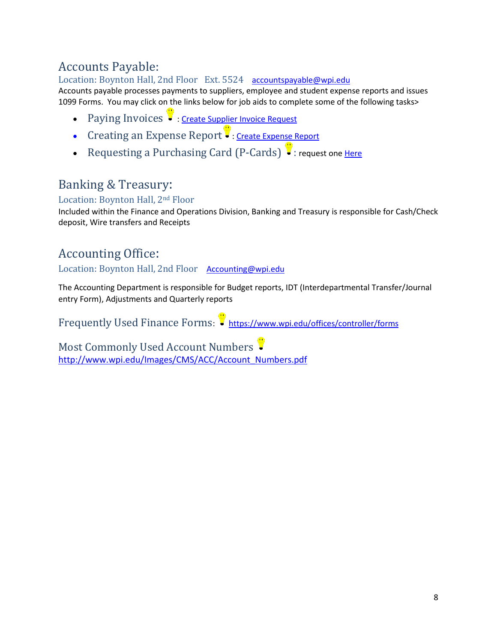### <span id="page-8-0"></span>Accounts Payable:

Location: Boynton Hall, 2nd Floor Ext. 5524 [accountspayable@wpi.edu](mailto:accountspayable@wpi.edu) Accounts payable processes payments to suppliers, employee and student expense reports and issues 1099 Forms. You may click on the links below for job aids to complete some of the following tasks>

- <span id="page-8-1"></span>• Paying Invoices : [Create Supplier Invoice Request](https://wpi0.sharepoint.com/workday/Shared%20Documents/Forms/AllItems.aspx?id=/workday/Shared%20Documents/JobAids/PayanInvoiceWithoutPO.pdf&parent=/workday/Shared%20Documents/JobAids)
- <span id="page-8-2"></span>• Creating an Expense Report : [Create Expense Report](https://wpi0.sharepoint.com/workday/Shared%20Documents/Forms/AllItems.aspx?sortField=Modified&isAscending=false&id=/workday/Shared%20Documents/JobAids/CreateExpenseReport.pdf&parent=/workday/Shared%20Documents/JobAids)
- <span id="page-8-3"></span>• Requesting a Purchasing Card  $(P-Cards)$ . request on[e Here](https://www.wpi.edu/sites/default/files/Sept2018CardholderAgreement.pdf)

### <span id="page-8-4"></span>Banking & Treasury:

Location: Boynton Hall, 2nd Floor

Included within the Finance and Operations Division, Banking and Treasury is responsible for Cash/Check deposit, Wire transfers and Receipts

### <span id="page-8-5"></span>Accounting Office:

Location: Boynton Hall, 2nd Floor [Accounting@wpi.edu](mailto:Accounting@wpi.edu)

The Accounting Department is responsible for Budget reports, IDT (Interdepartmental Transfer/Journal entry Form), Adjustments and Quarterly reports

<span id="page-8-6"></span>Frequently Used Finance Forms: <https://www.wpi.edu/offices/controller/forms>

<span id="page-8-7"></span>Most Commonly Used Account Numbers [http://www.wpi.edu/Images/CMS/ACC/Account\\_Numbers.pdf](http://www.wpi.edu/Images/CMS/ACC/Account_Numbers.pdf)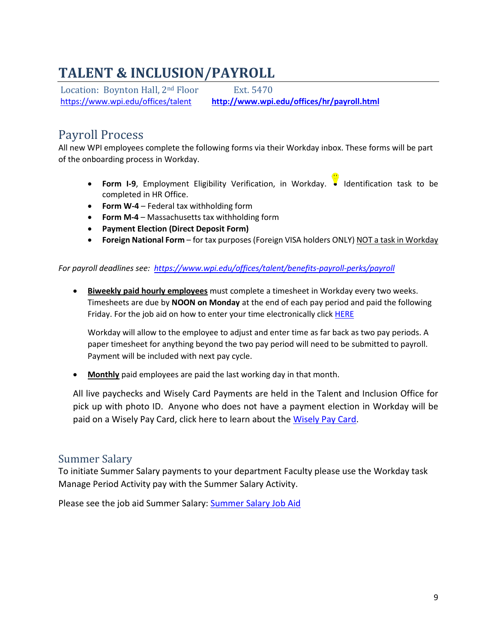### <span id="page-9-0"></span>**TALENT & INCLUSION/PAYROLL**

Location: Boynton Hall, 2<sup>nd</sup> Floor Ext. 5470 <https://www.wpi.edu/offices/talent>**[http://www.wpi.edu/offices/hr/payroll.html](https://www.wpi.edu/offices/payroll)**

### <span id="page-9-1"></span>Payroll Process

All new WPI employees complete the following forms via their Workday inbox. These forms will be part of the onboarding process in Workday.

- **Form I-9**, Employment Eligibility Verification, in Workday. Identification task to be completed in HR Office.
- **Form W-4** Federal tax withholding form
- **Form M-4** Massachusetts tax withholding form
- **Payment Election (Direct Deposit Form)**
- **Foreign National Form** for tax purposes (Foreign VISA holders ONLY) NOT a task in Workday

#### *For payroll deadlines see: <https://www.wpi.edu/offices/talent/benefits-payroll-perks/payroll>*

• **Biweekly paid hourly employees** must complete a timesheet in Workday every two weeks. Timesheets are due by **NOON on Monday** at the end of each pay period and paid the following Friday. For the job aid on how to enter your time electronically click **HERE** 

Workday will allow to the employee to adjust and enter time as far back as two pay periods. A paper timesheet for anything beyond the two pay period will need to be submitted to payroll. Payment will be included with next pay cycle.

• **Monthly** paid employees are paid the last working day in that month.

All live paychecks and Wisely Card Payments are held in the Talent and Inclusion Office for pick up with photo ID. Anyone who does not have a payment election in Workday will be paid on a Wisely Pay Card, click here to learn about the [Wisely Pay Card.](https://nam03.safelinks.protection.outlook.com/?url=https%3A%2F%2Finfo.mywisely.com%2Fpay%2F&data=02%7C01%7Cginaferraro%40wpi.edu%7C711fd3fe9ffa4dd1cfef08d799ed7086%7C589c76f5ca1541f9884b55ec15a0672a%7C0%7C0%7C637147117379692013&sdata=1AWCdaVp25ciGZyFHqnic5Pd%2BTljr6rVTKqafpUWkxk%3D&reserved=0)

### <span id="page-9-2"></span>Summer Salary

To initiate Summer Salary payments to your department Faculty please use the Workday task Manage Period Activity pay with the Summer Salary Activity.

Please see the job aid Summer Salary: **Summer Salary Job Aid**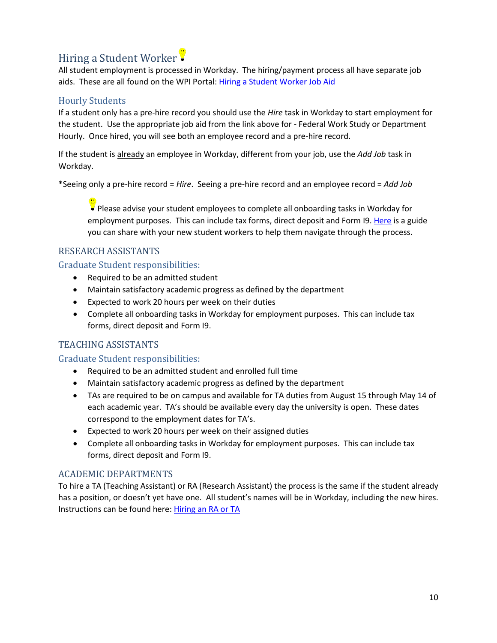### <span id="page-10-0"></span>Hiring a Student Worker

All student employment is processed in Workday. The hiring/payment process all have separate job aids. These are all found on the WPI Portal: [Hiring a Student Worker Job Aid](https://wpi0.sharepoint.com/sitepages/workdayhr.aspx)

#### Hourly Students

If a student only has a pre-hire record you should use the *Hire* task in Workday to start employment for the student. Use the appropriate job aid from the link above for - Federal Work Study or Department Hourly. Once hired, you will see both an employee record and a pre-hire record.

If the student is already an employee in Workday, different from your job, use the *Add Job* task in Workday.

\*Seeing only a pre-hire record = *Hire*. Seeing a pre-hire record and an employee record = *Add Job*

Please advise your student employees to complete all onboarding tasks in Workday for employment purposes. This can include tax forms, direct deposit and Form I9. [Here](https://wpi0.sharepoint.com/workday/Shared%20Documents/Forms/AllItems.aspx?id=%2Fworkday%2FShared%20Documents%2FJobAids%2FGotWorkFinal%2Epdf&parent=%2Fworkday%2FShared%20Documents%2FJobAids&p=true&originalPath=aHR0cHM6Ly93cGkwLnNoYXJlcG9pbnQuY29tLzpiOi9nL3dvcmtkYXkvRVVGZUtEaDBZTFJOdHV5SDdETXI2MzRCODlhc0FuMXQyellNNTAxYXZNRlJwQT9ydGltZT04YjU3VGRwaTEwZw) is a guide you can share with your new student workers to help them navigate through the process.

#### RESEARCH ASSISTANTS

Graduate Student responsibilities:

- Required to be an admitted student
- Maintain satisfactory academic progress as defined by the department
- Expected to work 20 hours per week on their duties
- Complete all onboarding tasks in Workday for employment purposes. This can include tax forms, direct deposit and Form I9.

#### TEACHING ASSISTANTS

#### Graduate Student responsibilities:

- Required to be an admitted student and enrolled full time
- Maintain satisfactory academic progress as defined by the department
- TAs are required to be on campus and available for TA duties from August 15 through May 14 of each academic year. TA's should be available every day the university is open. These dates correspond to the employment dates for TA's.
- Expected to work 20 hours per week on their assigned duties
- Complete all onboarding tasks in Workday for employment purposes. This can include tax forms, direct deposit and Form I9.

#### ACADEMIC DEPARTMENTS

To hire a TA (Teaching Assistant) or RA (Research Assistant) the process is the same if the student already has a position, or doesn't yet have one. All student's names will be in Workday, including the new hires. Instructions can be found here: [Hiring an RA or TA](https://wpi0.sharepoint.com/workday/Shared%20Documents/Forms/AllItems.aspx?id=/workday/Shared%20Documents/JobAids/ta-ra.pdf&parent=/workday/Shared%20Documents/JobAids)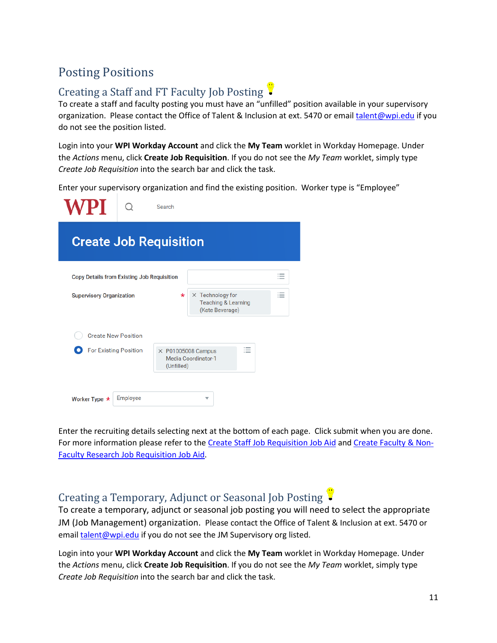### <span id="page-11-0"></span>Posting Positions

### <span id="page-11-1"></span>Creating a Staff and FT Faculty Job Posting

To create a staff and faculty posting you must have an "unfilled" position available in your supervisory organization. Please contact the Office of Talent & Inclusion at ext. 5470 or emai[l talent@wpi.edu](mailto:talent@wpi.edu) if you do not see the position listed.

Login into your **WPI Workday Account** and click the **My Team** worklet in Workday Homepage. Under the *Actions* menu, click **Create Job Requisition**. If you do not see the *My Team* worklet, simply type *Create Job Requisition* into the search bar and click the task.

Enter your supervisory organization and find the existing position. Worker type is "Employee"

| WPI                                               |          | Search     |                                                                              |                                                      |  |  |  |
|---------------------------------------------------|----------|------------|------------------------------------------------------------------------------|------------------------------------------------------|--|--|--|
| <b>Create Job Requisition</b>                     |          |            |                                                                              |                                                      |  |  |  |
| <b>Copy Details from Existing Job Requisition</b> |          |            |                                                                              | $\overline{\phantom{a}}$<br>$\overline{\phantom{a}}$ |  |  |  |
| <b>Supervisory Organization</b>                   |          | $\star$    | $\times$ Technology for<br><b>Teaching &amp; Learning</b><br>(Kate Beverage) | $:=$                                                 |  |  |  |
| <b>Create New Position</b>                        |          |            |                                                                              |                                                      |  |  |  |
| <b>For Existing Position</b>                      |          | (Unfilled) | 洼<br>$\times$ P01005008 Campus<br>Media Coordinator-1                        |                                                      |  |  |  |
|                                                   |          |            |                                                                              |                                                      |  |  |  |
| Worker Type $\star$                               | Employee |            | $\overline{\mathbf{v}}$                                                      |                                                      |  |  |  |

Enter the recruiting details selecting next at the bottom of each page. Click submit when you are done. For more information please refer to the [Create Staff Job Requisition Job Aid](https://wpi0.sharepoint.com/Shared%20Documents/Creating%20Staff%20Job%20Requisition.pdf#search=create%20staff%20job%20requisition) and [Create Faculty & Non-](https://wpi0.sharepoint.com/workday/Shared%20Documents/JobAids/CreateAdjunctFacultyJobRequisition.pdf#search=create%20staff%20job%20requisition)[Faculty Research Job Requisition Job Aid.](https://wpi0.sharepoint.com/workday/Shared%20Documents/JobAids/CreateAdjunctFacultyJobRequisition.pdf#search=create%20staff%20job%20requisition)

### <span id="page-11-2"></span>Creating a Temporary, Adjunct or Seasonal Job Posting

To create a temporary, adjunct or seasonal job posting you will need to select the appropriate JM (Job Management) organization. Please contact the Office of Talent & Inclusion at ext. 5470 or email [talent@wpi.edu](mailto:talent@wpi.edu) if you do not see the JM Supervisory org listed.

Login into your **WPI Workday Account** and click the **My Team** worklet in Workday Homepage. Under the *Actions* menu, click **Create Job Requisition**. If you do not see the *My Team* worklet, simply type *Create Job Requisition* into the search bar and click the task.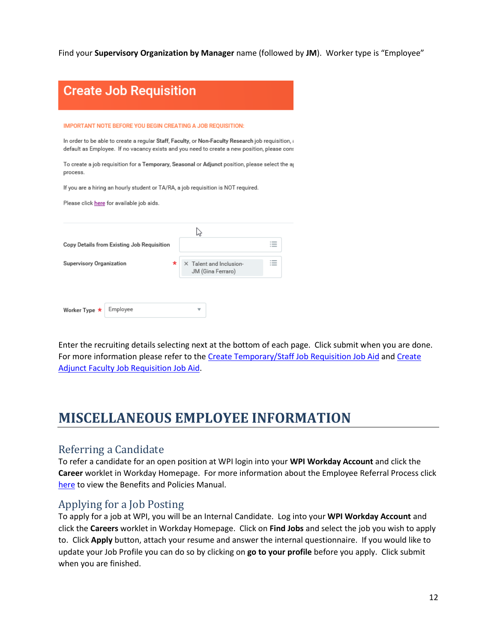Find your **Supervisory Organization by Manager** name (followed by **JM**). Worker type is "Employee"

| <b>Create Job Requisition</b>                                                                                                                                                                                     |                                                                                                                                                                                                                                                                                                      |  |  |
|-------------------------------------------------------------------------------------------------------------------------------------------------------------------------------------------------------------------|------------------------------------------------------------------------------------------------------------------------------------------------------------------------------------------------------------------------------------------------------------------------------------------------------|--|--|
| <b>IMPORTANT NOTE BEFORE YOU BEGIN CREATING A JOB REQUISITION:</b><br>process.<br>If you are a hiring an hourly student or TA/RA, a job requisition is NOT required.<br>Please click here for available job aids. | In order to be able to create a regular Staff, Faculty, or Non-Faculty Research job reguisition, a<br>default as Employee. If no vacancy exists and you need to create a new position, please cons<br>To create a job requisition for a Temporary, Seasonal or Adjunct position, please select the a |  |  |
| Copy Details from Existing Job Requisition<br><b>Supervisory Organization</b><br>*                                                                                                                                | ピ<br>$:=$<br>X Talent and Inclusion-<br>≔<br>JM (Gina Ferraro)                                                                                                                                                                                                                                       |  |  |
| Employee<br>Worker Type *                                                                                                                                                                                         | ₩                                                                                                                                                                                                                                                                                                    |  |  |

Enter the recruiting details selecting next at the bottom of each page. Click submit when you are done. For more information please refer to the [Create Temporary/Staff Job Requisition Job Aid](https://wpi0.sharepoint.com/workday/Shared%20Documents/Forms/AllItems.aspx?sortField=Modified&isAscending=false&id=/workday/Shared%20Documents/JobAids/CreateTemporaryAndSeasonalJobRequisition.pdf&parent=/workday/Shared%20Documents/JobAids) and [Create](https://wpi0.sharepoint.com/workday/Shared%20Documents/Forms/AllItems.aspx?sortField=Modified&isAscending=false&id=/workday/Shared%20Documents/JobAids/CreateAdjunctFacultyJobRequisitionNew.pdf&parent=/workday/Shared%20Documents/JobAids)  Adjunct Faculty [Job Requisition Job Aid.](https://wpi0.sharepoint.com/workday/Shared%20Documents/Forms/AllItems.aspx?sortField=Modified&isAscending=false&id=/workday/Shared%20Documents/JobAids/CreateAdjunctFacultyJobRequisitionNew.pdf&parent=/workday/Shared%20Documents/JobAids)

### <span id="page-12-0"></span>**MISCELLANEOUS EMPLOYEE INFORMATION**

#### <span id="page-12-1"></span>Referring a Candidate

To refer a candidate for an open position at WPI login into your **WPI Workday Account** and click the **Career** worklet in Workday Homepage. For more information about the Employee Referral Process click [here](https://www.wpi.edu/offices/talent/benefits-payroll-perks/benefits-matrix) to view the Benefits and Policies Manual.

#### <span id="page-12-2"></span>Applying for a Job Posting

To apply for a job at WPI, you will be an Internal Candidate. Log into your **WPI Workday Account** and click the **Careers** worklet in Workday Homepage. Click on **Find Jobs** and select the job you wish to apply to. Click **Apply** button, attach your resume and answer the internal questionnaire. If you would like to update your Job Profile you can do so by clicking on **go to your profile** before you apply. Click submit when you are finished.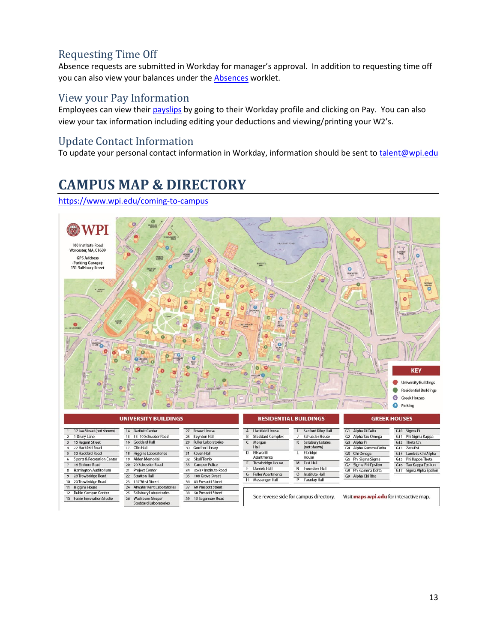### <span id="page-13-0"></span>Requesting Time Off

Absence requests are submitted in Workday for manager's approval. In addition to requesting time off you can also view your balances under the **Absences** worklet.

#### <span id="page-13-1"></span>View your Pay Information

Employees can view their [payslips](https://wpi0.sharepoint.com/workday/Shared%20Documents/Forms/AllItems.aspx?id=%2Fworkday%2FShared%20Documents%2FJobAids%2FView%5FYour%5FPayslip%2Epdf&parent=%2Fworkday%2FShared%20Documents%2FJobAids&p=true&originalPath=aHR0cHM6Ly93cGkwLnNoYXJlcG9pbnQuY29tLzpiOi9nL3dvcmtkYXkvRVZya0VqSmJFVXhLbDNqbURZSkZWUWdCQjg3YnQtdUtMMUl4a09Od1lzaHowUT9ydGltZT1YMFZ4TjhOeDEwZw) by going to their Workday profile and clicking on Pay. You can also view your tax information including editing your deductions and viewing/printing your W2's.

#### <span id="page-13-2"></span>Update Contact Information

To update your personal contact information in Workday, information should be sent t[o talent@wpi.edu](mailto:talent@wpi.edu)

### <span id="page-13-3"></span>**CAMPUS MAP & DIRECTORY**

<https://www.wpi.edu/coming-to-campus>

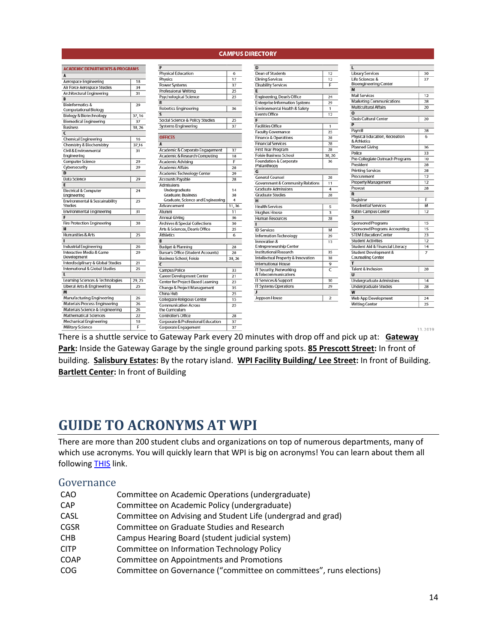#### **CAMPUS DIRECTORY**

| <b>ACADEMIC DEPARTMENTS &amp; PROGRAMS</b> |        | P                                             |        | D                                           |                       |                                                 |                |
|--------------------------------------------|--------|-----------------------------------------------|--------|---------------------------------------------|-----------------------|-------------------------------------------------|----------------|
|                                            |        | <b>Physical Education</b>                     | 6      | <b>Dean of Students</b>                     | 12                    | <b>Library Services</b>                         | 30             |
| Aerospace Engineering                      | 18     | Physics                                       | 17     | <b>Dining Services</b>                      | 12                    | Life Sciences &<br><b>Bioengineering Center</b> | 37             |
| Air Force Aerospace Studies                | 34     | Power Systems                                 | 37     | <b>Disability Services</b>                  | Е                     | $\overline{M}$                                  |                |
| Architectural Engineering                  | 31     | Professional Writing                          | 25     | $\overline{E}$                              |                       | <b>Mail Services</b>                            |                |
| R                                          |        | Psychological Science                         | 25     | Engineering, Dean's Office                  | 24                    |                                                 | 12             |
| <b>Bioinformatics &amp;</b>                | 29     | R                                             |        | <b>Enterprise Information Systems</b>       | 29                    | <b>Marketing Communications</b>                 | 28             |
| <b>Computational Biology</b>               |        | <b>Robotics Engineering</b>                   | 36     | Environmental Health & Safety               | $\mathbf{1}$          | <b>Multicultural Affairs</b><br>$\Omega$        | 20             |
| Biology & Biotechnology                    | 37, 16 |                                               |        | <b>Events Office</b>                        | 12                    |                                                 |                |
| <b>Biomedical Engineering</b>              | 37     | Social Science & Policy Studies               | 25     | F                                           |                       | <b>Oasis Cultural Center</b>                    | 20             |
| <b>Business</b>                            | 38, 26 | Systems Engineering                           | 37     | <b>Facilities Office</b>                    | 1                     | P                                               |                |
|                                            |        |                                               |        | <b>Faculty Governance</b>                   | 25                    | Payroll                                         | 28             |
| <b>Chemical Engineering</b>                | 16     | <b>OFFICES</b>                                |        | <b>Finance &amp; Operations</b>             | 28                    | Physical Education, Recreation<br>& Athletics   | 6              |
| Chemistry & Biochemistry                   | 37,16  | A                                             |        | <b>Financial Services</b>                   | 28                    |                                                 |                |
| Civil & Environmental                      | 31     | Academic & Corporate Engagement               | 37     | First Year Program                          | 28                    | <b>Planned Giving</b>                           | 36             |
| Engineering                                |        | Academic & Research Computing                 | 18     | <b>Foisie Business School</b>               | 38, 26                | Police                                          | 33             |
| <b>Computer Science</b>                    | 29     | <b>Academic Advising</b>                      | F      | Foundation & Corporate                      | 36                    | Pre-Collegiate Outreach Programs                | 10             |
| Cybersecurity                              | 29     | <b>Academic Affairs</b>                       | 28     | Philanthropy                                |                       | President                                       | 28             |
|                                            |        | Academic Technology Center                    | 29     | G                                           |                       | <b>Printing Services</b>                        | 28             |
| Data Science                               | 29     | <b>Accounts Payable</b>                       | 28     | <b>General Counsel</b>                      | 28                    | Procurement                                     | 12             |
|                                            |        | <b>Admissions</b>                             |        | <b>Government &amp; Community Relations</b> | 11                    | <b>Property Management</b>                      | 12             |
| <b>Electrical &amp; Computer</b>           | 24     | Undergraduate                                 | 14     | <b>Graduate Admissions</b>                  | 4                     | Provost                                         | 28             |
| Engineering                                |        | Graduate, Business                            | 38     | <b>Graduate Studies</b>                     | 28                    | $\overline{\mathbf{R}}$                         |                |
| Environmental & Sustainability             | 25     | Graduate, Science and Engineering             | 4      | $\overline{H}$                              |                       | Registrar                                       | F              |
| <b>Studies</b>                             |        | Advancement                                   | 11,36  | <b>Health Services</b>                      | 5                     | <b>Residential Services</b>                     | M              |
| <b>Environmental Engineering</b>           | 31     | Alumni                                        | 11     | <b>Hughes House</b>                         | 3                     | <b>Rubin Campus Center</b>                      | 12             |
|                                            |        | <b>Annual Giving</b>                          | 36     | <b>Human Resources</b>                      | 28                    |                                                 |                |
| <b>Fire Protection Engineering</b>         | 38     | <b>Archives &amp; Special Collections</b>     | 30     |                                             |                       | <b>Sponsored Programs</b>                       | 15             |
|                                            |        | Arts & Sciences, Dean's Office                | 25     | <b>ID Services</b>                          | м                     | <b>Sponsored Programs Accounting</b>            | 15             |
| Humanities & Arts                          | 25     | <b>Athletics</b>                              | 6      | <b>Information Technology</b>               | 29                    | <b>STEM Education Center</b>                    | 23             |
|                                            |        | B                                             |        | Innovation &                                | 13                    | <b>Student Activities</b>                       | 12             |
| <b>Industrial Engineering</b>              | 26     | <b>Budget &amp; Planning</b>                  | 28     | <b>Entrepreneurship Center</b>              |                       | Student Aid & Financial Literacy                | 14             |
| Interactive Media & Game                   | 29     | <b>Bursar's Office (Student Accounts)</b>     | 28     | <b>Institutional Research</b>               | 35                    | Student Development &                           | $\overline{7}$ |
| Development                                |        | <b>Business School, Foisie</b>                | 38, 26 | Intellectual Property & Innovation          | 38                    | <b>Counseling Center</b>                        |                |
| Interdisciplinary & Global Studies         | 21     | C                                             |        | <b>International House</b>                  | 9                     | $\overline{1}$                                  |                |
| International & Global Studies             | 25     | <b>Campus Police</b>                          | 33     | <b>IT Security, Networking</b>              | $\overline{\epsilon}$ | <b>Talent &amp; Inclusion</b>                   | 28             |
|                                            |        | <b>Career Development Center</b>              | 21     | & Telecommunications                        |                       | $\overline{11}$                                 |                |
| Learning Sciences & Technologies           | 29, 25 | Center for Project-Based Learning             | 23     | <b>IT Services &amp; Support</b>            | 30                    | <b>Undergraduate Admissions</b>                 | 14             |
| Liberal Arts & Engineering                 | 25     | Change & Project Management                   | 35     | <b>IT Systems Operations</b>                | 29                    | <b>Undergraduate Studies</b>                    | 28             |
|                                            |        | China Hub                                     | 25     | $\mathbf{I}$                                |                       | W                                               |                |
| Manufacturing Engineering                  | 26     | Collegiate Religious Center                   | 15     | Jeppson House                               | $\overline{2}$        | Web App Development                             | 24             |
| Materials Process Engineering              | 26     | <b>Communication Across</b>                   | 25     |                                             |                       | <b>Writing Center</b>                           | 25             |
| Materials Science & Engineering            | 26     | the Curriculum                                |        |                                             |                       |                                                 |                |
| <b>Mathematical Sciences</b>               | 22     | <b>Controller's Office</b>                    | 28     |                                             |                       |                                                 |                |
| Mechanical Engineering                     | 18     | <b>Corporate &amp; Professional Education</b> | 37     |                                             |                       |                                                 |                |
| Military Science                           | F      | Corporate Engagement                          | 37     |                                             |                       |                                                 |                |
|                                            |        |                                               |        |                                             |                       |                                                 | 11.2019        |

There is a shuttle service to Gateway Park every 20 minutes with drop off and pick up at: **Gateway Park:** Inside the Gateway Garage by the single ground parking spots. **85 Prescott Street:** In front of building. **Salisbury Estates:** By the rotary island. **WPI Facility Building/ Lee Street:** In front of Building. **Bartlett Center:** In front of Building

### <span id="page-14-0"></span>**GUIDE TO ACRONYMS AT WPI**

There are more than 200 student clubs and organizations on top of numerous departments, many of which use acronyms. You will quickly learn that WPI is big on acronyms! You can learn about them all following [THIS](https://www.wpi.edu/about/wpi-acronyms) link.

#### <span id="page-14-1"></span>Governance

| CAO         | Committee on Academic Operations (undergraduate)                    |
|-------------|---------------------------------------------------------------------|
| <b>CAP</b>  | Committee on Academic Policy (undergraduate)                        |
| CASL        | Committee on Advising and Student Life (undergrad and grad)         |
| <b>CGSR</b> | Committee on Graduate Studies and Research                          |
| <b>CHB</b>  | Campus Hearing Board (student judicial system)                      |
| <b>CITP</b> | Committee on Information Technology Policy                          |
| <b>COAP</b> | Committee on Appointments and Promotions                            |
| <b>COG</b>  | Committee on Governance ("committee on committees", runs elections) |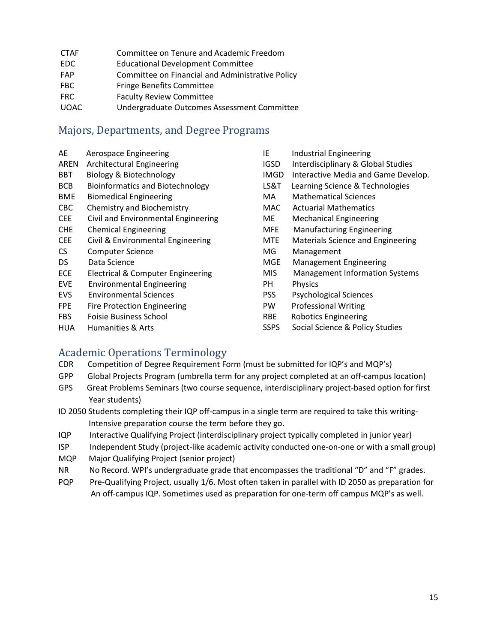| <b>CTAF</b> | Committee on Tenure and Academic Freedom |
|-------------|------------------------------------------|
|             |                                          |

- EDC Educational Development Committee
- FAP Committee on Financial and Administrative Policy
- FBC Fringe Benefits Committee
- FRC Faculty Review Committee
- UOAC Undergraduate Outcomes Assessment Committee

#### <span id="page-15-0"></span>Majors, Departments, and Degree Programs

- AE Aerospace Engineering
- AREN Architectural Engineering
- BBT Biology & Biotechnology
- BCB Bioinformatics and Biotechnology
- BME Biomedical Engineering
- CBC Chemistry and Biochemistry
- CEE Civil and Environmental Engineering
- CHE Chemical Engineering
- CEE Civil & Environmental Engineering
- CS Computer Science
- DS Data Science
- ECE Electrical & Computer Engineering
- EVE Environmental Engineering
- EVS Environmental Sciences
- FPE Fire Protection Engineering
- FBS Foisie Business School
- HUA Humanities & Arts
- IE Industrial Engineering IGSD Interdisciplinary & Global Studies IMGD Interactive Media and Game Develop. LS&T Learning Science & Technologies MA Mathematical Sciences MAC Actuarial Mathematics ME Mechanical Engineering MFE Manufacturing Engineering MTE Materials Science and Engineering MG Management MGE Management Engineering MIS Management Information Systems PH Physics PSS Psychological Sciences PW Professional Writing RBE Robotics Engineering
- SSPS Social Science & Policy Studies

## <span id="page-15-1"></span>Academic Operations Terminology<br>CDR Competition of Degree Requirement Fo

- Competition of Degree Requirement Form (must be submitted for IQP's and MQP's)
- GPP Global Projects Program (umbrella term for any project completed at an off-campus location)
- GPS Great Problems Seminars (two course sequence, interdisciplinary project-based option for first Year students)
- ID 2050 Students completing their IQP off-campus in a single term are required to take this writing- Intensive preparation course the term before they go.
- IQP Interactive Qualifying Project (interdisciplinary project typically completed in junior year)
- ISP Independent Study (project-like academic activity conducted one-on-one or with a small group)
- MQP Major Qualifying Project (senior project)
- NR No Record. WPI's undergraduate grade that encompasses the traditional "D" and "F" grades.
- PQP Pre-Qualifying Project, usually 1/6. Most often taken in parallel with ID 2050 as preparation for An off-campus IQP. Sometimes used as preparation for one-term off campus MQP's as well.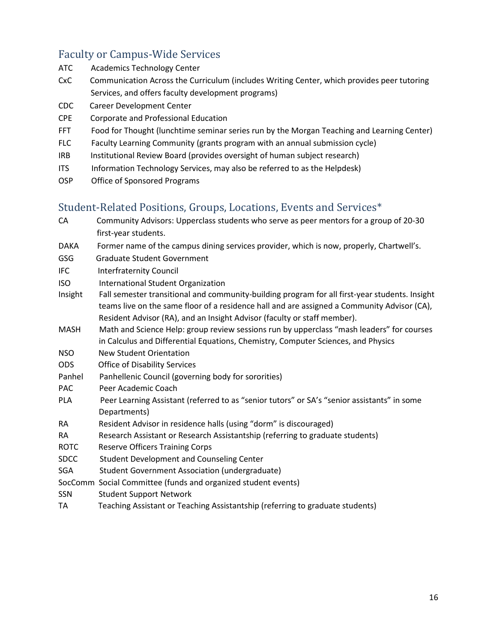## <span id="page-16-0"></span>Faculty or Campus-Wide Services<br>ATC Academics Technology Center

- Academics Technology Center
- CxC Communication Across the Curriculum (includes Writing Center, which provides peer tutoring Services, and offers faculty development programs)
- CDC Career Development Center
- CPE Corporate and Professional Education
- FFT Food for Thought (lunchtime seminar series run by the Morgan Teaching and Learning Center)
- FLC Faculty Learning Community (grants program with an annual submission cycle)
- IRB Institutional Review Board (provides oversight of human subject research)
- ITS Information Technology Services, may also be referred to as the Helpdesk)
- OSP Office of Sponsored Programs

#### <span id="page-16-1"></span>Student-Related Positions, Groups, Locations, Events and Services\*

- CA Community Advisors: Upperclass students who serve as peer mentors for a group of 20-30 first-year students.
- DAKA Former name of the campus dining services provider, which is now, properly, Chartwell's.
- GSG Graduate Student Government
- IFC Interfraternity Council
- ISO International Student Organization
- Insight Fall semester transitional and community-building program for all first-year students. Insight teams live on the same floor of a residence hall and are assigned a Community Advisor (CA), Resident Advisor (RA), and an Insight Advisor (faculty or staff member).
- MASH Math and Science Help: group review sessions run by upperclass "mash leaders" for courses in Calculus and Differential Equations, Chemistry, Computer Sciences, and Physics
- NSO New Student Orientation
- ODS Office of Disability Services
- Panhel Panhellenic Council (governing body for sororities)
- PAC Peer Academic Coach
- PLA Peer Learning Assistant (referred to as "senior tutors" or SA's "senior assistants" in some Departments)
- RA Resident Advisor in residence halls (using "dorm" is discouraged)
- RA Research Assistant or Research Assistantship (referring to graduate students)
- ROTC Reserve Officers Training Corps
- SDCC Student Development and Counseling Center
- SGA Student Government Association (undergraduate)
- SocComm Social Committee (funds and organized student events)
- SSN Student Support Network
- TA Teaching Assistant or Teaching Assistantship (referring to graduate students)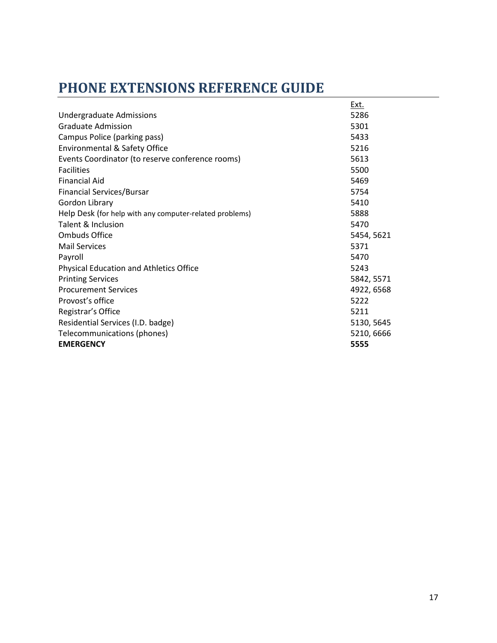### <span id="page-17-0"></span>**PHONE EXTENSIONS REFERENCE GUIDE**

|                                                         | <u>Ext.</u> |
|---------------------------------------------------------|-------------|
| <b>Undergraduate Admissions</b>                         | 5286        |
| <b>Graduate Admission</b>                               | 5301        |
| Campus Police (parking pass)                            | 5433        |
| Environmental & Safety Office                           | 5216        |
| Events Coordinator (to reserve conference rooms)        | 5613        |
| <b>Facilities</b>                                       | 5500        |
| <b>Financial Aid</b>                                    | 5469        |
| Financial Services/Bursar                               | 5754        |
| Gordon Library                                          | 5410        |
| Help Desk (for help with any computer-related problems) | 5888        |
| <b>Talent &amp; Inclusion</b>                           | 5470        |
| <b>Ombuds Office</b>                                    | 5454, 5621  |
| <b>Mail Services</b>                                    | 5371        |
| Payroll                                                 | 5470        |
| <b>Physical Education and Athletics Office</b>          | 5243        |
| <b>Printing Services</b>                                | 5842, 5571  |
| <b>Procurement Services</b>                             | 4922, 6568  |
| Provost's office                                        | 5222        |
| Registrar's Office                                      | 5211        |
| Residential Services (I.D. badge)                       | 5130, 5645  |
| Telecommunications (phones)                             | 5210, 6666  |
| <b>EMERGENCY</b>                                        | 5555        |